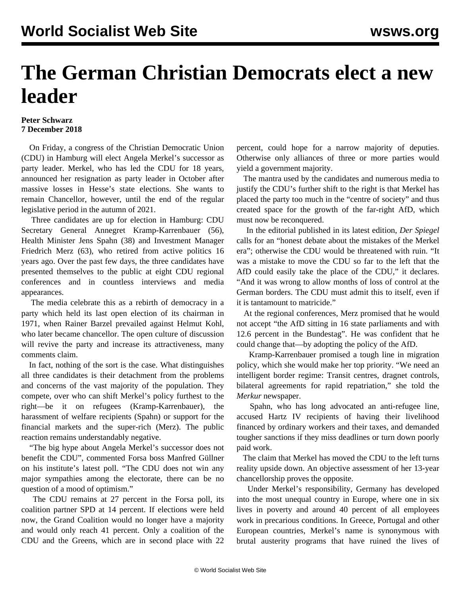## **The German Christian Democrats elect a new leader**

## **Peter Schwarz 7 December 2018**

 On Friday, a congress of the Christian Democratic Union (CDU) in Hamburg will elect Angela Merkel's successor as party leader. Merkel, who has led the CDU for 18 years, announced her resignation as party leader in October after massive losses in Hesse's state elections. She wants to remain Chancellor, however, until the end of the regular legislative period in the autumn of 2021.

 Three candidates are up for election in Hamburg: CDU Secretary General Annegret Kramp-Karrenbauer (56), Health Minister Jens Spahn (38) and Investment Manager Friedrich Merz (63), who retired from active politics 16 years ago. Over the past few days, the three candidates have presented themselves to the public at eight CDU regional conferences and in countless interviews and media appearances.

 The media celebrate this as a rebirth of democracy in a party which held its last open election of its chairman in 1971, when Rainer Barzel prevailed against Helmut Kohl, who later became chancellor. The open culture of discussion will revive the party and increase its attractiveness, many comments claim.

 In fact, nothing of the sort is the case. What distinguishes all three candidates is their detachment from the problems and concerns of the vast majority of the population. They compete, over who can shift Merkel's policy furthest to the right—be it on refugees (Kramp-Karrenbauer), the harassment of welfare recipients (Spahn) or support for the financial markets and the super-rich (Merz). The public reaction remains understandably negative.

 "The big hype about Angela Merkel's successor does not benefit the CDU", commented Forsa boss Manfred Güllner on his institute's latest poll. "The CDU does not win any major sympathies among the electorate, there can be no question of a mood of optimism."

 The CDU remains at 27 percent in the Forsa poll, its coalition partner SPD at 14 percent. If elections were held now, the Grand Coalition would no longer have a majority and would only reach 41 percent. Only a coalition of the CDU and the Greens, which are in second place with 22

percent, could hope for a narrow majority of deputies. Otherwise only alliances of three or more parties would yield a government majority.

 The mantra used by the candidates and numerous media to justify the CDU's further shift to the right is that Merkel has placed the party too much in the "centre of society" and thus created space for the growth of the far-right AfD, which must now be reconquered.

 In the editorial published in its latest edition, *Der Spiegel* calls for an "honest debate about the mistakes of the Merkel era"; otherwise the CDU would be threatened with ruin. "It was a mistake to move the CDU so far to the left that the AfD could easily take the place of the CDU," it declares. "And it was wrong to allow months of loss of control at the German borders. The CDU must admit this to itself, even if it is tantamount to matricide."

 At the regional conferences, Merz promised that he would not accept "the AfD sitting in 16 state parliaments and with 12.6 percent in the Bundestag". He was confident that he could change that—by adopting the policy of the AfD.

 Kramp-Karrenbauer promised a tough line in migration policy, which she would make her top priority. "We need an intelligent border regime: Transit centres, dragnet controls, bilateral agreements for rapid repatriation," she told the *Merkur* newspaper.

 Spahn, who has long advocated an anti-refugee line, accused Hartz IV recipients of having their livelihood financed by ordinary workers and their taxes, and demanded tougher sanctions if they miss deadlines or turn down poorly paid work.

 The claim that Merkel has moved the CDU to the left turns reality upside down. An objective assessment of her 13-year chancellorship proves the opposite.

 Under Merkel's responsibility, Germany has developed into the most unequal country in Europe, where one in six lives in poverty and around 40 percent of all employees work in precarious conditions. In Greece, Portugal and other European countries, Merkel's name is synonymous with brutal austerity programs that have ruined the lives of